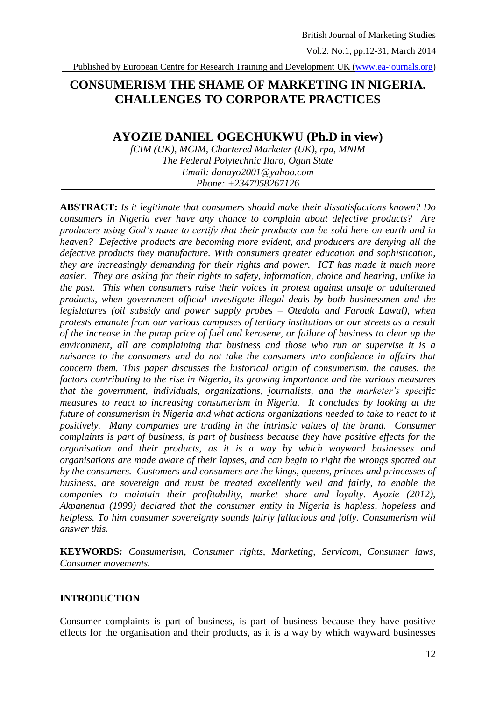Published by European Centre for Research Training and Development UK [\(www.ea-journals.org\)](http://www.ea-journals.org/)

# **CONSUMERISM THE SHAME OF MARKETING IN NIGERIA. CHALLENGES TO CORPORATE PRACTICES**

## **AYOZIE DANIEL OGECHUKWU (Ph.D in view)**

*fCIM (UK), MCIM, Chartered Marketer (UK), rpa, MNIM The Federal Polytechnic Ilaro, Ogun State Email: danayo2001@yahoo.com Phone: +2347058267126*

**ABSTRACT:** *Is it legitimate that consumers should make their dissatisfactions known? Do consumers in Nigeria ever have any chance to complain about defective products? Are producers using God's name to certify that their products can be sold here on earth and in heaven? Defective products are becoming more evident, and producers are denying all the defective products they manufacture. With consumers greater education and sophistication, they are increasingly demanding for their rights and power. ICT has made it much more easier. They are asking for their rights to safety, information, choice and hearing, unlike in the past. This when consumers raise their voices in protest against unsafe or adulterated products, when government official investigate illegal deals by both businessmen and the legislatures (oil subsidy and power supply probes – Otedola and Farouk Lawal), when protests emanate from our various campuses of tertiary institutions or our streets as a result of the increase in the pump price of fuel and kerosene, or failure of business to clear up the environment, all are complaining that business and those who run or supervise it is a nuisance to the consumers and do not take the consumers into confidence in affairs that concern them. This paper discusses the historical origin of consumerism, the causes, the factors contributing to the rise in Nigeria, its growing importance and the various measures that the government, individuals, organizations, journalists, and the marketer's specific measures to react to increasing consumerism in Nigeria. It concludes by looking at the future of consumerism in Nigeria and what actions organizations needed to take to react to it positively. Many companies are trading in the intrinsic values of the brand. Consumer complaints is part of business, is part of business because they have positive effects for the organisation and their products, as it is a way by which wayward businesses and organisations are made aware of their lapses, and can begin to right the wrongs spotted out by the consumers. Customers and consumers are the kings, queens, princes and princesses of business, are sovereign and must be treated excellently well and fairly, to enable the companies to maintain their profitability, market share and loyalty. Ayozie (2012), Akpanenua (1999) declared that the consumer entity in Nigeria is hapless, hopeless and helpless. To him consumer sovereignty sounds fairly fallacious and folly. Consumerism will answer this.*

**KEYWORDS***: Consumerism, Consumer rights, Marketing, Servicom, Consumer laws, Consumer movements.*

## **INTRODUCTION**

Consumer complaints is part of business, is part of business because they have positive effects for the organisation and their products, as it is a way by which wayward businesses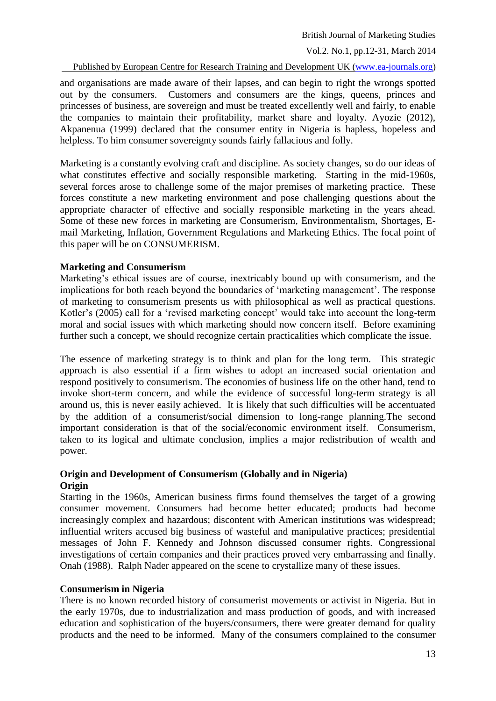Vol.2. No.1, pp.12-31, March 2014

Published by European Centre for Research Training and Development UK [\(www.ea-journals.org\)](http://www.ea-journals.org/)

and organisations are made aware of their lapses, and can begin to right the wrongs spotted out by the consumers. Customers and consumers are the kings, queens, princes and princesses of business, are sovereign and must be treated excellently well and fairly, to enable the companies to maintain their profitability, market share and loyalty. Ayozie (2012), Akpanenua (1999) declared that the consumer entity in Nigeria is hapless, hopeless and helpless. To him consumer sovereignty sounds fairly fallacious and folly.

Marketing is a constantly evolving craft and discipline. As society changes, so do our ideas of what constitutes effective and socially responsible marketing. Starting in the mid-1960s, several forces arose to challenge some of the major premises of marketing practice. These forces constitute a new marketing environment and pose challenging questions about the appropriate character of effective and socially responsible marketing in the years ahead. Some of these new forces in marketing are Consumerism, Environmentalism, Shortages, Email Marketing, Inflation, Government Regulations and Marketing Ethics. The focal point of this paper will be on CONSUMERISM.

### **Marketing and Consumerism**

Marketing's ethical issues are of course, inextricably bound up with consumerism, and the implications for both reach beyond the boundaries of 'marketing management'. The response of marketing to consumerism presents us with philosophical as well as practical questions. Kotler's (2005) call for a 'revised marketing concept' would take into account the long-term moral and social issues with which marketing should now concern itself. Before examining further such a concept, we should recognize certain practicalities which complicate the issue.

The essence of marketing strategy is to think and plan for the long term. This strategic approach is also essential if a firm wishes to adopt an increased social orientation and respond positively to consumerism. The economies of business life on the other hand, tend to invoke short-term concern, and while the evidence of successful long-term strategy is all around us, this is never easily achieved. It is likely that such difficulties will be accentuated by the addition of a consumerist/social dimension to long-range planning.The second important consideration is that of the social/economic environment itself. Consumerism, taken to its logical and ultimate conclusion, implies a major redistribution of wealth and power.

## **Origin and Development of Consumerism (Globally and in Nigeria) Origin**

Starting in the 1960s, American business firms found themselves the target of a growing consumer movement. Consumers had become better educated; products had become increasingly complex and hazardous; discontent with American institutions was widespread; influential writers accused big business of wasteful and manipulative practices; presidential messages of John F. Kennedy and Johnson discussed consumer rights. Congressional investigations of certain companies and their practices proved very embarrassing and finally. Onah (1988). Ralph Nader appeared on the scene to crystallize many of these issues.

## **Consumerism in Nigeria**

There is no known recorded history of consumerist movements or activist in Nigeria. But in the early 1970s, due to industrialization and mass production of goods, and with increased education and sophistication of the buyers/consumers, there were greater demand for quality products and the need to be informed. Many of the consumers complained to the consumer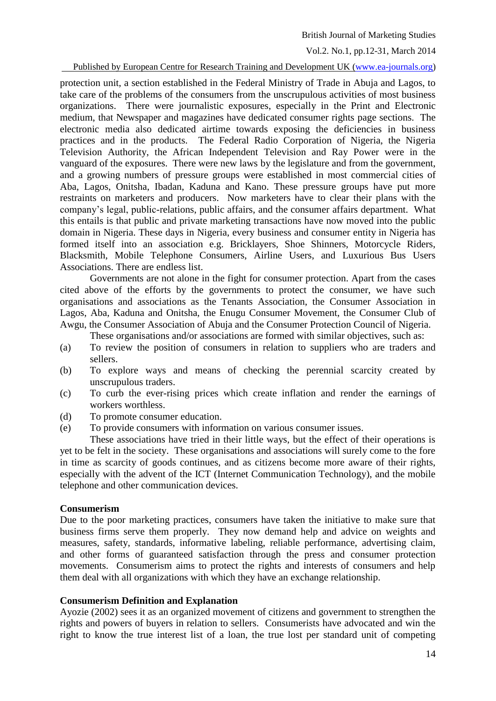Vol.2. No.1, pp.12-31, March 2014

Published by European Centre for Research Training and Development UK [\(www.ea-journals.org\)](http://www.ea-journals.org/)

protection unit, a section established in the Federal Ministry of Trade in Abuja and Lagos, to take care of the problems of the consumers from the unscrupulous activities of most business organizations. There were journalistic exposures, especially in the Print and Electronic medium, that Newspaper and magazines have dedicated consumer rights page sections. The electronic media also dedicated airtime towards exposing the deficiencies in business practices and in the products. The Federal Radio Corporation of Nigeria, the Nigeria Television Authority, the African Independent Television and Ray Power were in the vanguard of the exposures. There were new laws by the legislature and from the government, and a growing numbers of pressure groups were established in most commercial cities of Aba, Lagos, Onitsha, Ibadan, Kaduna and Kano. These pressure groups have put more restraints on marketers and producers. Now marketers have to clear their plans with the company's legal, public-relations, public affairs, and the consumer affairs department. What this entails is that public and private marketing transactions have now moved into the public domain in Nigeria. These days in Nigeria, every business and consumer entity in Nigeria has formed itself into an association e.g. Bricklayers, Shoe Shinners, Motorcycle Riders, Blacksmith, Mobile Telephone Consumers, Airline Users, and Luxurious Bus Users Associations. There are endless list.

Governments are not alone in the fight for consumer protection. Apart from the cases cited above of the efforts by the governments to protect the consumer, we have such organisations and associations as the Tenants Association, the Consumer Association in Lagos, Aba, Kaduna and Onitsha, the Enugu Consumer Movement, the Consumer Club of Awgu, the Consumer Association of Abuja and the Consumer Protection Council of Nigeria.

These organisations and/or associations are formed with similar objectives, such as:

- (a) To review the position of consumers in relation to suppliers who are traders and sellers.
- (b) To explore ways and means of checking the perennial scarcity created by unscrupulous traders.
- (c) To curb the ever-rising prices which create inflation and render the earnings of workers worthless.
- (d) To promote consumer education.
- (e) To provide consumers with information on various consumer issues.

These associations have tried in their little ways, but the effect of their operations is yet to be felt in the society. These organisations and associations will surely come to the fore in time as scarcity of goods continues, and as citizens become more aware of their rights, especially with the advent of the ICT (Internet Communication Technology), and the mobile telephone and other communication devices.

#### **Consumerism**

Due to the poor marketing practices, consumers have taken the initiative to make sure that business firms serve them properly. They now demand help and advice on weights and measures, safety, standards, informative labeling, reliable performance, advertising claim, and other forms of guaranteed satisfaction through the press and consumer protection movements. Consumerism aims to protect the rights and interests of consumers and help them deal with all organizations with which they have an exchange relationship.

#### **Consumerism Definition and Explanation**

Ayozie (2002) sees it as an organized movement of citizens and government to strengthen the rights and powers of buyers in relation to sellers. Consumerists have advocated and win the right to know the true interest list of a loan, the true lost per standard unit of competing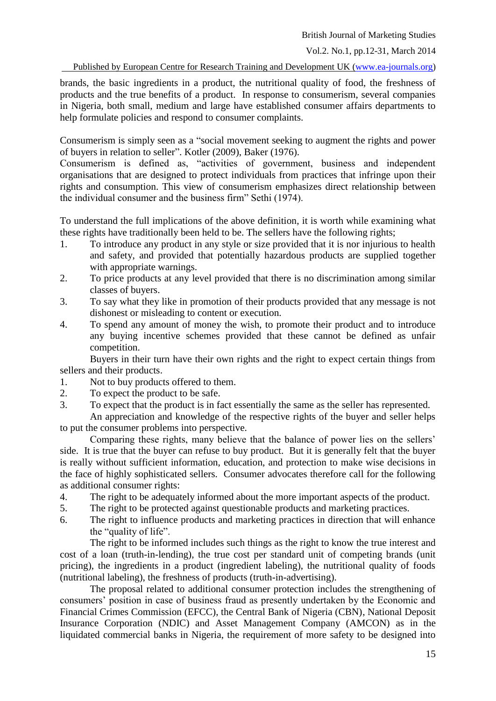Vol.2. No.1, pp.12-31, March 2014

Published by European Centre for Research Training and Development UK [\(www.ea-journals.org\)](http://www.ea-journals.org/)

brands, the basic ingredients in a product, the nutritional quality of food, the freshness of products and the true benefits of a product. In response to consumerism, several companies in Nigeria, both small, medium and large have established consumer affairs departments to help formulate policies and respond to consumer complaints.

Consumerism is simply seen as a "social movement seeking to augment the rights and power of buyers in relation to seller". Kotler (2009), Baker (1976).

Consumerism is defined as, "activities of government, business and independent organisations that are designed to protect individuals from practices that infringe upon their rights and consumption. This view of consumerism emphasizes direct relationship between the individual consumer and the business firm" Sethi (1974).

To understand the full implications of the above definition, it is worth while examining what these rights have traditionally been held to be. The sellers have the following rights;

- 1. To introduce any product in any style or size provided that it is nor injurious to health and safety, and provided that potentially hazardous products are supplied together with appropriate warnings.
- 2. To price products at any level provided that there is no discrimination among similar classes of buyers.
- 3. To say what they like in promotion of their products provided that any message is not dishonest or misleading to content or execution.
- 4. To spend any amount of money the wish, to promote their product and to introduce any buying incentive schemes provided that these cannot be defined as unfair competition.

Buyers in their turn have their own rights and the right to expect certain things from sellers and their products.

- 1. Not to buy products offered to them.
- 2. To expect the product to be safe.
- 3. To expect that the product is in fact essentially the same as the seller has represented.

An appreciation and knowledge of the respective rights of the buyer and seller helps to put the consumer problems into perspective.

Comparing these rights, many believe that the balance of power lies on the sellers' side. It is true that the buyer can refuse to buy product. But it is generally felt that the buyer is really without sufficient information, education, and protection to make wise decisions in the face of highly sophisticated sellers. Consumer advocates therefore call for the following as additional consumer rights:

- 4. The right to be adequately informed about the more important aspects of the product.
- 5. The right to be protected against questionable products and marketing practices.
- 6. The right to influence products and marketing practices in direction that will enhance the "quality of life".

The right to be informed includes such things as the right to know the true interest and cost of a loan (truth-in-lending), the true cost per standard unit of competing brands (unit pricing), the ingredients in a product (ingredient labeling), the nutritional quality of foods (nutritional labeling), the freshness of products (truth-in-advertising).

The proposal related to additional consumer protection includes the strengthening of consumers' position in case of business fraud as presently undertaken by the Economic and Financial Crimes Commission (EFCC), the Central Bank of Nigeria (CBN), National Deposit Insurance Corporation (NDIC) and Asset Management Company (AMCON) as in the liquidated commercial banks in Nigeria, the requirement of more safety to be designed into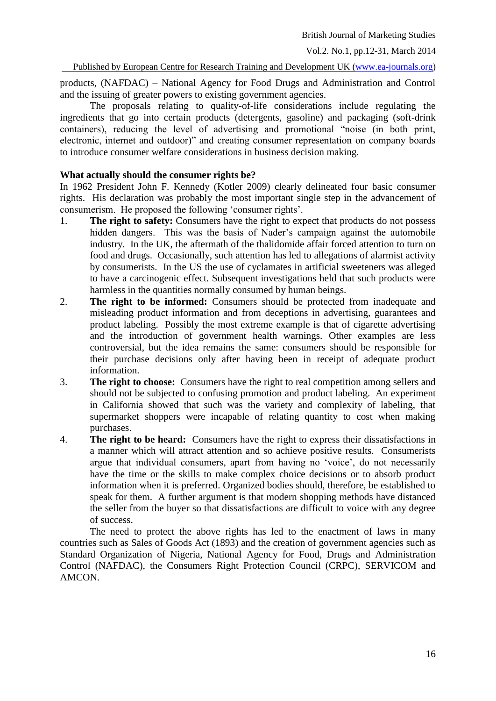#### Published by European Centre for Research Training and Development UK [\(www.ea-journals.org\)](http://www.ea-journals.org/)

products, (NAFDAC) – National Agency for Food Drugs and Administration and Control and the issuing of greater powers to existing government agencies.

The proposals relating to quality-of-life considerations include regulating the ingredients that go into certain products (detergents, gasoline) and packaging (soft-drink containers), reducing the level of advertising and promotional "noise (in both print, electronic, internet and outdoor)" and creating consumer representation on company boards to introduce consumer welfare considerations in business decision making.

## **What actually should the consumer rights be?**

In 1962 President John F. Kennedy (Kotler 2009) clearly delineated four basic consumer rights. His declaration was probably the most important single step in the advancement of consumerism. He proposed the following 'consumer rights'.

- 1. **The right to safety:** Consumers have the right to expect that products do not possess hidden dangers. This was the basis of Nader's campaign against the automobile industry. In the UK, the aftermath of the thalidomide affair forced attention to turn on food and drugs. Occasionally, such attention has led to allegations of alarmist activity by consumerists. In the US the use of cyclamates in artificial sweeteners was alleged to have a carcinogenic effect. Subsequent investigations held that such products were harmless in the quantities normally consumed by human beings.
- 2. **The right to be informed:** Consumers should be protected from inadequate and misleading product information and from deceptions in advertising, guarantees and product labeling. Possibly the most extreme example is that of cigarette advertising and the introduction of government health warnings. Other examples are less controversial, but the idea remains the same: consumers should be responsible for their purchase decisions only after having been in receipt of adequate product information.
- 3. **The right to choose:** Consumers have the right to real competition among sellers and should not be subjected to confusing promotion and product labeling. An experiment in California showed that such was the variety and complexity of labeling, that supermarket shoppers were incapable of relating quantity to cost when making purchases.
- 4. **The right to be heard:** Consumers have the right to express their dissatisfactions in a manner which will attract attention and so achieve positive results. Consumerists argue that individual consumers, apart from having no 'voice', do not necessarily have the time or the skills to make complex choice decisions or to absorb product information when it is preferred. Organized bodies should, therefore, be established to speak for them. A further argument is that modern shopping methods have distanced the seller from the buyer so that dissatisfactions are difficult to voice with any degree of success.

The need to protect the above rights has led to the enactment of laws in many countries such as Sales of Goods Act (1893) and the creation of government agencies such as Standard Organization of Nigeria, National Agency for Food, Drugs and Administration Control (NAFDAC), the Consumers Right Protection Council (CRPC), SERVICOM and AMCON.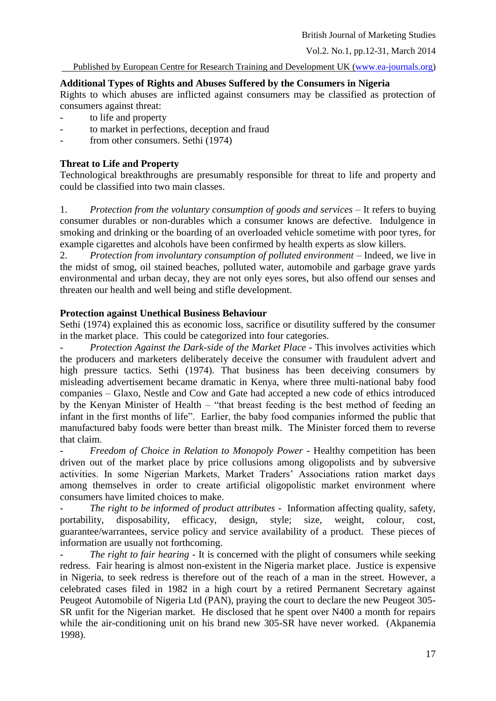#### Published by European Centre for Research Training and Development UK [\(www.ea-journals.org\)](http://www.ea-journals.org/)

## **Additional Types of Rights and Abuses Suffered by the Consumers in Nigeria**

Rights to which abuses are inflicted against consumers may be classified as protection of consumers against threat:

- to life and property
- to market in perfections, deception and fraud
- from other consumers. Sethi (1974)

## **Threat to Life and Property**

Technological breakthroughs are presumably responsible for threat to life and property and could be classified into two main classes.

1. *Protection from the voluntary consumption of goods and services* – It refers to buying consumer durables or non-durables which a consumer knows are defective. Indulgence in smoking and drinking or the boarding of an overloaded vehicle sometime with poor tyres, for example cigarettes and alcohols have been confirmed by health experts as slow killers.

2. *Protection from involuntary consumption of polluted environment* – Indeed, we live in the midst of smog, oil stained beaches, polluted water, automobile and garbage grave yards environmental and urban decay, they are not only eyes sores, but also offend our senses and threaten our health and well being and stifle development.

## **Protection against Unethical Business Behaviour**

Sethi (1974) explained this as economic loss, sacrifice or disutility suffered by the consumer in the market place. This could be categorized into four categories.

*Protection Against the Dark-side of the Market Place* - This involves activities which the producers and marketers deliberately deceive the consumer with fraudulent advert and high pressure tactics. Sethi (1974). That business has been deceiving consumers by misleading advertisement became dramatic in Kenya, where three multi-national baby food companies – Glaxo, Nestle and Cow and Gate had accepted a new code of ethics introduced by the Kenyan Minister of Health – "that breast feeding is the best method of feeding an infant in the first months of life". Earlier, the baby food companies informed the public that manufactured baby foods were better than breast milk. The Minister forced them to reverse that claim.

- *Freedom of Choice in Relation to Monopoly Power* - Healthy competition has been driven out of the market place by price collusions among oligopolists and by subversive activities. In some Nigerian Markets, Market Traders' Associations ration market days among themselves in order to create artificial oligopolistic market environment where consumers have limited choices to make.

- *The right to be informed of product attributes* - Information affecting quality, safety, portability, disposability, efficacy, design, style; size, weight, colour, cost, guarantee/warrantees, service policy and service availability of a product. These pieces of information are usually not forthcoming.

- *The right to fair hearing* - It is concerned with the plight of consumers while seeking redress. Fair hearing is almost non-existent in the Nigeria market place. Justice is expensive in Nigeria, to seek redress is therefore out of the reach of a man in the street. However, a celebrated cases filed in 1982 in a high court by a retired Permanent Secretary against Peugeot Automobile of Nigeria Ltd (PAN), praying the court to declare the new Peugeot 305- SR unfit for the Nigerian market. He disclosed that he spent over N400 a month for repairs while the air-conditioning unit on his brand new 305-SR have never worked. (Akpanemia 1998).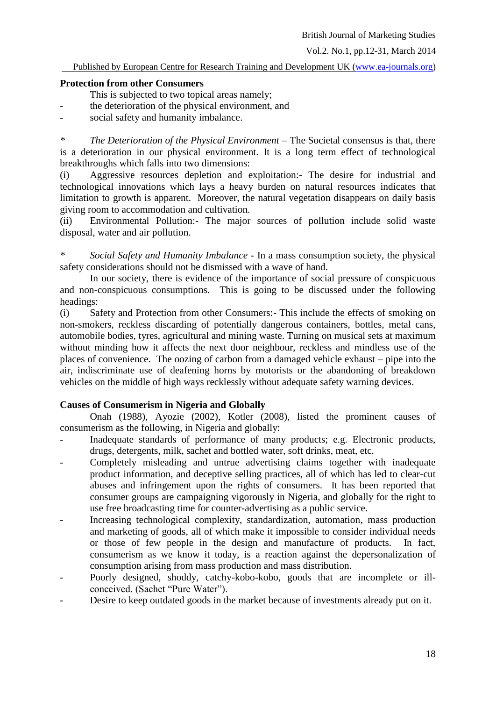Published by European Centre for Research Training and Development UK [\(www.ea-journals.org\)](http://www.ea-journals.org/)

## **Protection from other Consumers**

This is subjected to two topical areas namely;

- the deterioration of the physical environment, and
- social safety and humanity imbalance.

*\* The Deterioration of the Physical Environment* – The Societal consensus is that, there is a deterioration in our physical environment. It is a long term effect of technological breakthroughs which falls into two dimensions:

(i) Aggressive resources depletion and exploitation:- The desire for industrial and technological innovations which lays a heavy burden on natural resources indicates that limitation to growth is apparent. Moreover, the natural vegetation disappears on daily basis giving room to accommodation and cultivation.

(ii) Environmental Pollution:- The major sources of pollution include solid waste disposal, water and air pollution.

*\* Social Safety and Humanity Imbalance* - In a mass consumption society, the physical safety considerations should not be dismissed with a wave of hand.

In our society, there is evidence of the importance of social pressure of conspicuous and non-conspicuous consumptions. This is going to be discussed under the following headings:

(i) Safety and Protection from other Consumers:- This include the effects of smoking on non-smokers, reckless discarding of potentially dangerous containers, bottles, metal cans, automobile bodies, tyres, agricultural and mining waste. Turning on musical sets at maximum without minding how it affects the next door neighbour, reckless and mindless use of the places of convenience. The oozing of carbon from a damaged vehicle exhaust – pipe into the air, indiscriminate use of deafening horns by motorists or the abandoning of breakdown vehicles on the middle of high ways recklessly without adequate safety warning devices.

## **Causes of Consumerism in Nigeria and Globally**

Onah (1988), Ayozie (2002), Kotler (2008), listed the prominent causes of consumerism as the following, in Nigeria and globally:

- Inadequate standards of performance of many products; e.g. Electronic products, drugs, detergents, milk, sachet and bottled water, soft drinks, meat, etc.
- Completely misleading and untrue advertising claims together with inadequate product information, and deceptive selling practices, all of which has led to clear-cut abuses and infringement upon the rights of consumers. It has been reported that consumer groups are campaigning vigorously in Nigeria, and globally for the right to use free broadcasting time for counter-advertising as a public service.
- Increasing technological complexity, standardization, automation, mass production and marketing of goods, all of which make it impossible to consider individual needs or those of few people in the design and manufacture of products. In fact, consumerism as we know it today, is a reaction against the depersonalization of consumption arising from mass production and mass distribution.
- Poorly designed, shoddy, catchy-kobo-kobo, goods that are incomplete or illconceived. (Sachet "Pure Water").
- Desire to keep outdated goods in the market because of investments already put on it.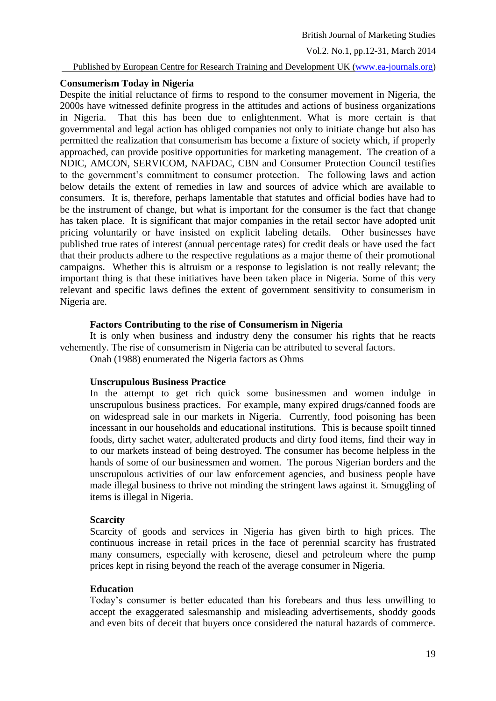Published by European Centre for Research Training and Development UK [\(www.ea-journals.org\)](http://www.ea-journals.org/)

### **Consumerism Today in Nigeria**

Despite the initial reluctance of firms to respond to the consumer movement in Nigeria, the 2000s have witnessed definite progress in the attitudes and actions of business organizations in Nigeria. That this has been due to enlightenment. What is more certain is that governmental and legal action has obliged companies not only to initiate change but also has permitted the realization that consumerism has become a fixture of society which, if properly approached, can provide positive opportunities for marketing management. The creation of a NDIC, AMCON, SERVICOM, NAFDAC, CBN and Consumer Protection Council testifies to the government's commitment to consumer protection. The following laws and action below details the extent of remedies in law and sources of advice which are available to consumers. It is, therefore, perhaps lamentable that statutes and official bodies have had to be the instrument of change, but what is important for the consumer is the fact that change has taken place. It is significant that major companies in the retail sector have adopted unit pricing voluntarily or have insisted on explicit labeling details. Other businesses have published true rates of interest (annual percentage rates) for credit deals or have used the fact that their products adhere to the respective regulations as a major theme of their promotional campaigns. Whether this is altruism or a response to legislation is not really relevant; the important thing is that these initiatives have been taken place in Nigeria. Some of this very relevant and specific laws defines the extent of government sensitivity to consumerism in Nigeria are.

## **Factors Contributing to the rise of Consumerism in Nigeria**

It is only when business and industry deny the consumer his rights that he reacts vehemently. The rise of consumerism in Nigeria can be attributed to several factors.

Onah (1988) enumerated the Nigeria factors as Ohms

## **Unscrupulous Business Practice**

In the attempt to get rich quick some businessmen and women indulge in unscrupulous business practices. For example, many expired drugs/canned foods are on widespread sale in our markets in Nigeria. Currently, food poisoning has been incessant in our households and educational institutions. This is because spoilt tinned foods, dirty sachet water, adulterated products and dirty food items, find their way in to our markets instead of being destroyed. The consumer has become helpless in the hands of some of our businessmen and women. The porous Nigerian borders and the unscrupulous activities of our law enforcement agencies, and business people have made illegal business to thrive not minding the stringent laws against it. Smuggling of items is illegal in Nigeria.

## **Scarcity**

Scarcity of goods and services in Nigeria has given birth to high prices. The continuous increase in retail prices in the face of perennial scarcity has frustrated many consumers, especially with kerosene, diesel and petroleum where the pump prices kept in rising beyond the reach of the average consumer in Nigeria.

## **Education**

Today's consumer is better educated than his forebears and thus less unwilling to accept the exaggerated salesmanship and misleading advertisements, shoddy goods and even bits of deceit that buyers once considered the natural hazards of commerce.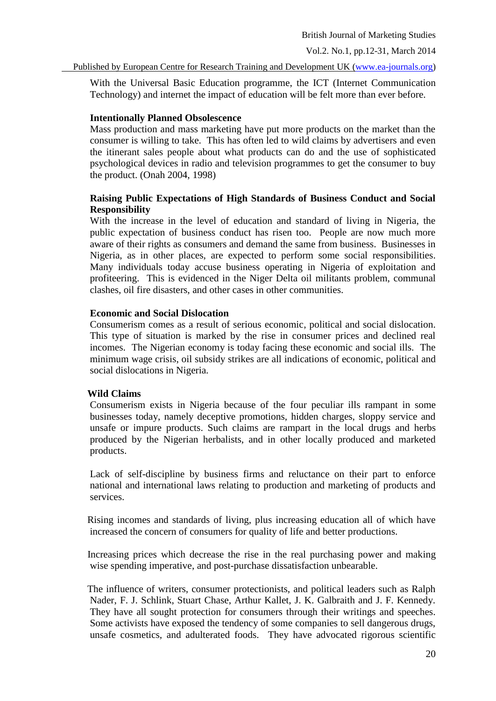#### Published by European Centre for Research Training and Development UK [\(www.ea-journals.org\)](http://www.ea-journals.org/)

With the Universal Basic Education programme, the ICT (Internet Communication Technology) and internet the impact of education will be felt more than ever before.

### **Intentionally Planned Obsolescence**

Mass production and mass marketing have put more products on the market than the consumer is willing to take. This has often led to wild claims by advertisers and even the itinerant sales people about what products can do and the use of sophisticated psychological devices in radio and television programmes to get the consumer to buy the product. (Onah 2004, 1998)

## **Raising Public Expectations of High Standards of Business Conduct and Social Responsibility**

With the increase in the level of education and standard of living in Nigeria, the public expectation of business conduct has risen too. People are now much more aware of their rights as consumers and demand the same from business. Businesses in Nigeria, as in other places, are expected to perform some social responsibilities. Many individuals today accuse business operating in Nigeria of exploitation and profiteering. This is evidenced in the Niger Delta oil militants problem, communal clashes, oil fire disasters, and other cases in other communities.

### **Economic and Social Dislocation**

Consumerism comes as a result of serious economic, political and social dislocation. This type of situation is marked by the rise in consumer prices and declined real incomes. The Nigerian economy is today facing these economic and social ills. The minimum wage crisis, oil subsidy strikes are all indications of economic, political and social dislocations in Nigeria.

## **Wild Claims**

Consumerism exists in Nigeria because of the four peculiar ills rampant in some businesses today, namely deceptive promotions, hidden charges, sloppy service and unsafe or impure products. Such claims are rampart in the local drugs and herbs produced by the Nigerian herbalists, and in other locally produced and marketed products.

Lack of self-discipline by business firms and reluctance on their part to enforce national and international laws relating to production and marketing of products and services.

Rising incomes and standards of living, plus increasing education all of which have increased the concern of consumers for quality of life and better productions.

Increasing prices which decrease the rise in the real purchasing power and making wise spending imperative, and post-purchase dissatisfaction unbearable.

The influence of writers, consumer protectionists, and political leaders such as Ralph Nader, F. J. Schlink, Stuart Chase, Arthur Kallet, J. K. Galbraith and J. F. Kennedy. They have all sought protection for consumers through their writings and speeches. Some activists have exposed the tendency of some companies to sell dangerous drugs, unsafe cosmetics, and adulterated foods. They have advocated rigorous scientific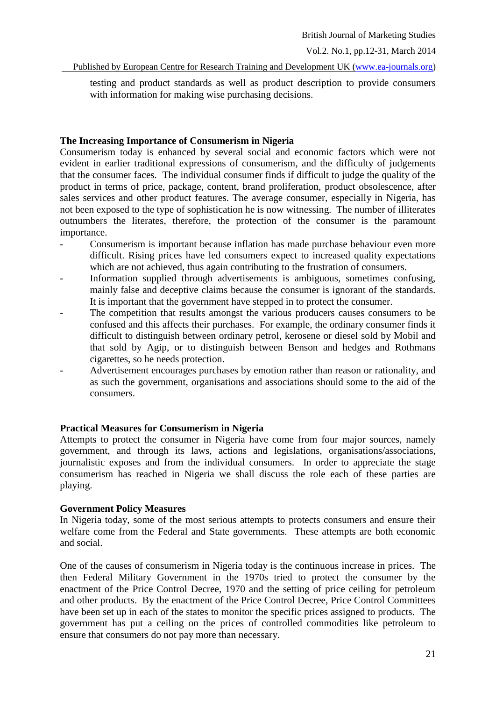Published by European Centre for Research Training and Development UK [\(www.ea-journals.org\)](http://www.ea-journals.org/)

testing and product standards as well as product description to provide consumers with information for making wise purchasing decisions.

## **The Increasing Importance of Consumerism in Nigeria**

Consumerism today is enhanced by several social and economic factors which were not evident in earlier traditional expressions of consumerism, and the difficulty of judgements that the consumer faces. The individual consumer finds if difficult to judge the quality of the product in terms of price, package, content, brand proliferation, product obsolescence, after sales services and other product features. The average consumer, especially in Nigeria, has not been exposed to the type of sophistication he is now witnessing. The number of illiterates outnumbers the literates, therefore, the protection of the consumer is the paramount importance.

- Consumerism is important because inflation has made purchase behaviour even more difficult. Rising prices have led consumers expect to increased quality expectations which are not achieved, thus again contributing to the frustration of consumers.
- Information supplied through advertisements is ambiguous, sometimes confusing, mainly false and deceptive claims because the consumer is ignorant of the standards. It is important that the government have stepped in to protect the consumer.
- The competition that results amongst the various producers causes consumers to be confused and this affects their purchases. For example, the ordinary consumer finds it difficult to distinguish between ordinary petrol, kerosene or diesel sold by Mobil and that sold by Agip, or to distinguish between Benson and hedges and Rothmans cigarettes, so he needs protection.
- Advertisement encourages purchases by emotion rather than reason or rationality, and as such the government, organisations and associations should some to the aid of the consumers.

## **Practical Measures for Consumerism in Nigeria**

Attempts to protect the consumer in Nigeria have come from four major sources, namely government, and through its laws, actions and legislations, organisations/associations, journalistic exposes and from the individual consumers. In order to appreciate the stage consumerism has reached in Nigeria we shall discuss the role each of these parties are playing.

## **Government Policy Measures**

In Nigeria today, some of the most serious attempts to protects consumers and ensure their welfare come from the Federal and State governments. These attempts are both economic and social.

One of the causes of consumerism in Nigeria today is the continuous increase in prices. The then Federal Military Government in the 1970s tried to protect the consumer by the enactment of the Price Control Decree, 1970 and the setting of price ceiling for petroleum and other products. By the enactment of the Price Control Decree, Price Control Committees have been set up in each of the states to monitor the specific prices assigned to products. The government has put a ceiling on the prices of controlled commodities like petroleum to ensure that consumers do not pay more than necessary.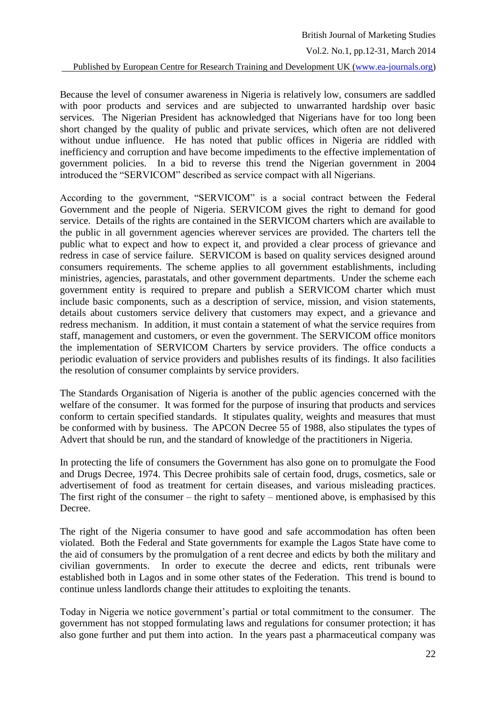Because the level of consumer awareness in Nigeria is relatively low, consumers are saddled with poor products and services and are subjected to unwarranted hardship over basic services. The Nigerian President has acknowledged that Nigerians have for too long been short changed by the quality of public and private services, which often are not delivered without undue influence. He has noted that public offices in Nigeria are riddled with inefficiency and corruption and have become impediments to the effective implementation of government policies. In a bid to reverse this trend the Nigerian government in 2004 introduced the "SERVICOM" described as service compact with all Nigerians.

According to the government, "SERVICOM" is a social contract between the Federal Government and the people of Nigeria. SERVICOM gives the right to demand for good service. Details of the rights are contained in the SERVICOM charters which are available to the public in all government agencies wherever services are provided. The charters tell the public what to expect and how to expect it, and provided a clear process of grievance and redress in case of service failure. SERVICOM is based on quality services designed around consumers requirements. The scheme applies to all government establishments, including ministries, agencies, parastatals, and other government departments. Under the scheme each government entity is required to prepare and publish a SERVICOM charter which must include basic components, such as a description of service, mission, and vision statements, details about customers service delivery that customers may expect, and a grievance and redress mechanism. In addition, it must contain a statement of what the service requires from staff, management and customers, or even the government. The SERVICOM office monitors the implementation of SERVICOM Charters by service providers. The office conducts a periodic evaluation of service providers and publishes results of its findings. It also facilities the resolution of consumer complaints by service providers.

The Standards Organisation of Nigeria is another of the public agencies concerned with the welfare of the consumer. It was formed for the purpose of insuring that products and services conform to certain specified standards. It stipulates quality, weights and measures that must be conformed with by business. The APCON Decree 55 of 1988, also stipulates the types of Advert that should be run, and the standard of knowledge of the practitioners in Nigeria.

In protecting the life of consumers the Government has also gone on to promulgate the Food and Drugs Decree, 1974. This Decree prohibits sale of certain food, drugs, cosmetics, sale or advertisement of food as treatment for certain diseases, and various misleading practices. The first right of the consumer – the right to safety – mentioned above, is emphasised by this Decree.

The right of the Nigeria consumer to have good and safe accommodation has often been violated. Both the Federal and State governments for example the Lagos State have come to the aid of consumers by the promulgation of a rent decree and edicts by both the military and civilian governments. In order to execute the decree and edicts, rent tribunals were established both in Lagos and in some other states of the Federation. This trend is bound to continue unless landlords change their attitudes to exploiting the tenants.

Today in Nigeria we notice government's partial or total commitment to the consumer. The government has not stopped formulating laws and regulations for consumer protection; it has also gone further and put them into action. In the years past a pharmaceutical company was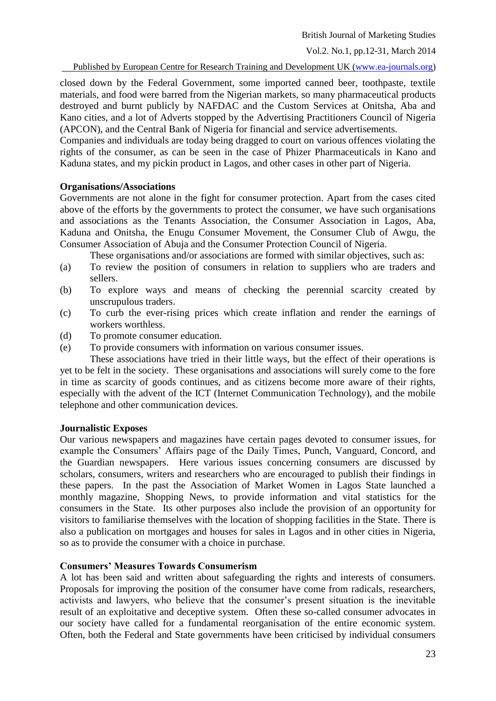Published by European Centre for Research Training and Development UK [\(www.ea-journals.org\)](http://www.ea-journals.org/)

closed down by the Federal Government, some imported canned beer, toothpaste, textile materials, and food were barred from the Nigerian markets, so many pharmaceutical products destroyed and burnt publicly by NAFDAC and the Custom Services at Onitsha, Aba and Kano cities, and a lot of Adverts stopped by the Advertising Practitioners Council of Nigeria (APCON), and the Central Bank of Nigeria for financial and service advertisements.

Companies and individuals are today being dragged to court on various offences violating the rights of the consumer, as can be seen in the case of Phizer Pharmaceuticals in Kano and Kaduna states, and my pickin product in Lagos, and other cases in other part of Nigeria.

## **Organisations/Associations**

Governments are not alone in the fight for consumer protection. Apart from the cases cited above of the efforts by the governments to protect the consumer, we have such organisations and associations as the Tenants Association, the Consumer Association in Lagos, Aba, Kaduna and Onitsha, the Enugu Consumer Movement, the Consumer Club of Awgu, the Consumer Association of Abuja and the Consumer Protection Council of Nigeria.

These organisations and/or associations are formed with similar objectives, such as:

- (a) To review the position of consumers in relation to suppliers who are traders and sellers.
- (b) To explore ways and means of checking the perennial scarcity created by unscrupulous traders.
- (c) To curb the ever-rising prices which create inflation and render the earnings of workers worthless.
- (d) To promote consumer education.
- (e) To provide consumers with information on various consumer issues.

These associations have tried in their little ways, but the effect of their operations is yet to be felt in the society. These organisations and associations will surely come to the fore in time as scarcity of goods continues, and as citizens become more aware of their rights, especially with the advent of the ICT (Internet Communication Technology), and the mobile telephone and other communication devices.

#### **Journalistic Exposes**

Our various newspapers and magazines have certain pages devoted to consumer issues, for example the Consumers' Affairs page of the Daily Times, Punch, Vanguard, Concord, and the Guardian newspapers. Here various issues concerning consumers are discussed by scholars, consumers, writers and researchers who are encouraged to publish their findings in these papers. In the past the Association of Market Women in Lagos State launched a monthly magazine, Shopping News, to provide information and vital statistics for the consumers in the State. Its other purposes also include the provision of an opportunity for visitors to familiarise themselves with the location of shopping facilities in the State. There is also a publication on mortgages and houses for sales in Lagos and in other cities in Nigeria, so as to provide the consumer with a choice in purchase.

## **Consumers' Measures Towards Consumerism**

A lot has been said and written about safeguarding the rights and interests of consumers. Proposals for improving the position of the consumer have come from radicals, researchers, activists and lawyers, who believe that the consumer's present situation is the inevitable result of an exploitative and deceptive system. Often these so-called consumer advocates in our society have called for a fundamental reorganisation of the entire economic system. Often, both the Federal and State governments have been criticised by individual consumers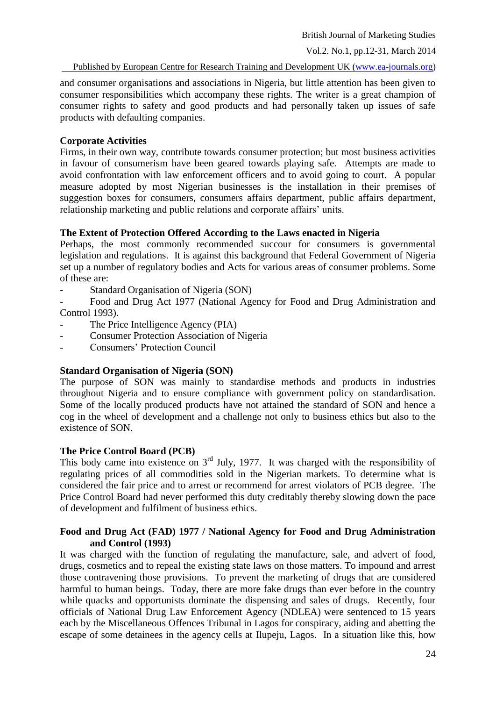Vol.2. No.1, pp.12-31, March 2014

Published by European Centre for Research Training and Development UK [\(www.ea-journals.org\)](http://www.ea-journals.org/)

and consumer organisations and associations in Nigeria, but little attention has been given to consumer responsibilities which accompany these rights. The writer is a great champion of consumer rights to safety and good products and had personally taken up issues of safe products with defaulting companies.

## **Corporate Activities**

Firms, in their own way, contribute towards consumer protection; but most business activities in favour of consumerism have been geared towards playing safe. Attempts are made to avoid confrontation with law enforcement officers and to avoid going to court. A popular measure adopted by most Nigerian businesses is the installation in their premises of suggestion boxes for consumers, consumers affairs department, public affairs department, relationship marketing and public relations and corporate affairs' units.

### **The Extent of Protection Offered According to the Laws enacted in Nigeria**

Perhaps, the most commonly recommended succour for consumers is governmental legislation and regulations. It is against this background that Federal Government of Nigeria set up a number of regulatory bodies and Acts for various areas of consumer problems. Some of these are:

- Standard Organisation of Nigeria (SON)
- Food and Drug Act 1977 (National Agency for Food and Drug Administration and Control 1993).
- The Price Intelligence Agency (PIA)
- Consumer Protection Association of Nigeria
- Consumers' Protection Council

## **Standard Organisation of Nigeria (SON)**

The purpose of SON was mainly to standardise methods and products in industries throughout Nigeria and to ensure compliance with government policy on standardisation. Some of the locally produced products have not attained the standard of SON and hence a cog in the wheel of development and a challenge not only to business ethics but also to the existence of SON.

### **The Price Control Board (PCB)**

This body came into existence on  $3<sup>rd</sup>$  July, 1977. It was charged with the responsibility of regulating prices of all commodities sold in the Nigerian markets. To determine what is considered the fair price and to arrest or recommend for arrest violators of PCB degree. The Price Control Board had never performed this duty creditably thereby slowing down the pace of development and fulfilment of business ethics.

## **Food and Drug Act (FAD) 1977 / National Agency for Food and Drug Administration and Control (1993)**

It was charged with the function of regulating the manufacture, sale, and advert of food, drugs, cosmetics and to repeal the existing state laws on those matters. To impound and arrest those contravening those provisions. To prevent the marketing of drugs that are considered harmful to human beings. Today, there are more fake drugs than ever before in the country while quacks and opportunists dominate the dispensing and sales of drugs. Recently, four officials of National Drug Law Enforcement Agency (NDLEA) were sentenced to 15 years each by the Miscellaneous Offences Tribunal in Lagos for conspiracy, aiding and abetting the escape of some detainees in the agency cells at Ilupeju, Lagos. In a situation like this, how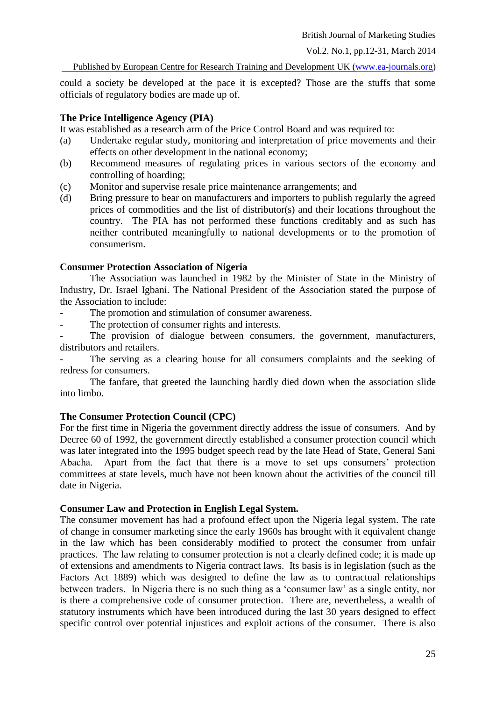Published by European Centre for Research Training and Development UK [\(www.ea-journals.org\)](http://www.ea-journals.org/)

could a society be developed at the pace it is excepted? Those are the stuffs that some officials of regulatory bodies are made up of.

## **The Price Intelligence Agency (PIA)**

It was established as a research arm of the Price Control Board and was required to:

- (a) Undertake regular study, monitoring and interpretation of price movements and their effects on other development in the national economy;
- (b) Recommend measures of regulating prices in various sectors of the economy and controlling of hoarding;
- (c) Monitor and supervise resale price maintenance arrangements; and
- (d) Bring pressure to bear on manufacturers and importers to publish regularly the agreed prices of commodities and the list of distributor(s) and their locations throughout the country. The PIA has not performed these functions creditably and as such has neither contributed meaningfully to national developments or to the promotion of consumerism.

## **Consumer Protection Association of Nigeria**

The Association was launched in 1982 by the Minister of State in the Ministry of Industry, Dr. Israel Igbani. The National President of the Association stated the purpose of the Association to include:

- The promotion and stimulation of consumer awareness.
- The protection of consumer rights and interests.

The provision of dialogue between consumers, the government, manufacturers, distributors and retailers.

The serving as a clearing house for all consumers complaints and the seeking of redress for consumers.

The fanfare, that greeted the launching hardly died down when the association slide into limbo.

## **The Consumer Protection Council (CPC)**

For the first time in Nigeria the government directly address the issue of consumers. And by Decree 60 of 1992, the government directly established a consumer protection council which was later integrated into the 1995 budget speech read by the late Head of State, General Sani Abacha. Apart from the fact that there is a move to set ups consumers' protection committees at state levels, much have not been known about the activities of the council till date in Nigeria.

## **Consumer Law and Protection in English Legal System.**

The consumer movement has had a profound effect upon the Nigeria legal system. The rate of change in consumer marketing since the early 1960s has brought with it equivalent change in the law which has been considerably modified to protect the consumer from unfair practices. The law relating to consumer protection is not a clearly defined code; it is made up of extensions and amendments to Nigeria contract laws. Its basis is in legislation (such as the Factors Act 1889) which was designed to define the law as to contractual relationships between traders. In Nigeria there is no such thing as a 'consumer law' as a single entity, nor is there a comprehensive code of consumer protection. There are, nevertheless, a wealth of statutory instruments which have been introduced during the last 30 years designed to effect specific control over potential injustices and exploit actions of the consumer. There is also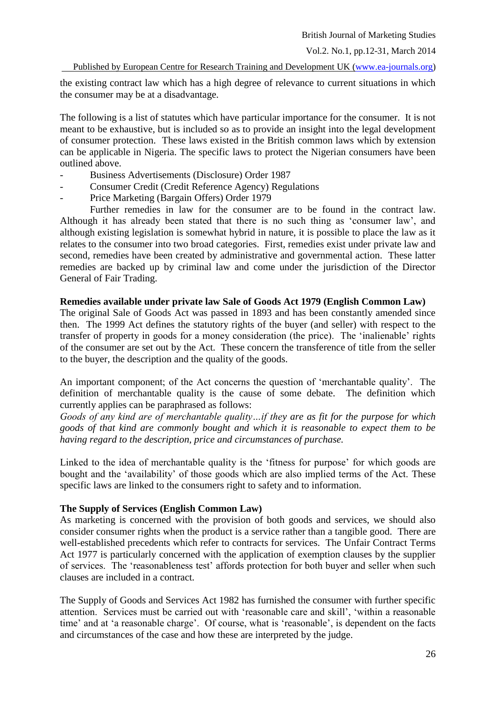Published by European Centre for Research Training and Development UK [\(www.ea-journals.org\)](http://www.ea-journals.org/)

the existing contract law which has a high degree of relevance to current situations in which the consumer may be at a disadvantage.

The following is a list of statutes which have particular importance for the consumer. It is not meant to be exhaustive, but is included so as to provide an insight into the legal development of consumer protection. These laws existed in the British common laws which by extension can be applicable in Nigeria. The specific laws to protect the Nigerian consumers have been outlined above.

- Business Advertisements (Disclosure) Order 1987
- Consumer Credit (Credit Reference Agency) Regulations
- Price Marketing (Bargain Offers) Order 1979

Further remedies in law for the consumer are to be found in the contract law. Although it has already been stated that there is no such thing as 'consumer law', and although existing legislation is somewhat hybrid in nature, it is possible to place the law as it relates to the consumer into two broad categories. First, remedies exist under private law and second, remedies have been created by administrative and governmental action. These latter remedies are backed up by criminal law and come under the jurisdiction of the Director General of Fair Trading.

## **Remedies available under private law Sale of Goods Act 1979 (English Common Law)**

The original Sale of Goods Act was passed in 1893 and has been constantly amended since then. The 1999 Act defines the statutory rights of the buyer (and seller) with respect to the transfer of property in goods for a money consideration (the price). The 'inalienable' rights of the consumer are set out by the Act. These concern the transference of title from the seller to the buyer, the description and the quality of the goods.

An important component; of the Act concerns the question of 'merchantable quality'. The definition of merchantable quality is the cause of some debate. The definition which currently applies can be paraphrased as follows:

*Goods of any kind are of merchantable quality…if they are as fit for the purpose for which goods of that kind are commonly bought and which it is reasonable to expect them to be having regard to the description, price and circumstances of purchase.*

Linked to the idea of merchantable quality is the 'fitness for purpose' for which goods are bought and the 'availability' of those goods which are also implied terms of the Act. These specific laws are linked to the consumers right to safety and to information.

## **The Supply of Services (English Common Law)**

As marketing is concerned with the provision of both goods and services, we should also consider consumer rights when the product is a service rather than a tangible good. There are well-established precedents which refer to contracts for services. The Unfair Contract Terms Act 1977 is particularly concerned with the application of exemption clauses by the supplier of services. The 'reasonableness test' affords protection for both buyer and seller when such clauses are included in a contract.

The Supply of Goods and Services Act 1982 has furnished the consumer with further specific attention. Services must be carried out with 'reasonable care and skill', 'within a reasonable time' and at 'a reasonable charge'. Of course, what is 'reasonable', is dependent on the facts and circumstances of the case and how these are interpreted by the judge.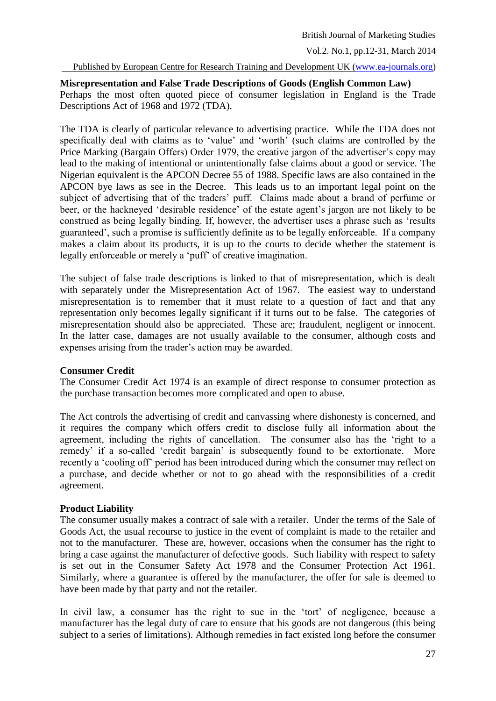#### Published by European Centre for Research Training and Development UK [\(www.ea-journals.org\)](http://www.ea-journals.org/)

## **Misrepresentation and False Trade Descriptions of Goods (English Common Law)**

Perhaps the most often quoted piece of consumer legislation in England is the Trade Descriptions Act of 1968 and 1972 (TDA).

The TDA is clearly of particular relevance to advertising practice. While the TDA does not specifically deal with claims as to 'value' and 'worth' (such claims are controlled by the Price Marking (Bargain Offers) Order 1979, the creative jargon of the advertiser's copy may lead to the making of intentional or unintentionally false claims about a good or service. The Nigerian equivalent is the APCON Decree 55 of 1988. Specific laws are also contained in the APCON bye laws as see in the Decree. This leads us to an important legal point on the subject of advertising that of the traders' puff. Claims made about a brand of perfume or beer, or the hackneyed 'desirable residence' of the estate agent's jargon are not likely to be construed as being legally binding. If, however, the advertiser uses a phrase such as 'results guaranteed', such a promise is sufficiently definite as to be legally enforceable. If a company makes a claim about its products, it is up to the courts to decide whether the statement is legally enforceable or merely a 'puff' of creative imagination.

The subject of false trade descriptions is linked to that of misrepresentation, which is dealt with separately under the Misrepresentation Act of 1967. The easiest way to understand misrepresentation is to remember that it must relate to a question of fact and that any representation only becomes legally significant if it turns out to be false. The categories of misrepresentation should also be appreciated. These are; fraudulent, negligent or innocent. In the latter case, damages are not usually available to the consumer, although costs and expenses arising from the trader's action may be awarded.

#### **Consumer Credit**

The Consumer Credit Act 1974 is an example of direct response to consumer protection as the purchase transaction becomes more complicated and open to abuse.

The Act controls the advertising of credit and canvassing where dishonesty is concerned, and it requires the company which offers credit to disclose fully all information about the agreement, including the rights of cancellation. The consumer also has the 'right to a remedy' if a so-called 'credit bargain' is subsequently found to be extortionate. More recently a 'cooling off' period has been introduced during which the consumer may reflect on a purchase, and decide whether or not to go ahead with the responsibilities of a credit agreement.

## **Product Liability**

The consumer usually makes a contract of sale with a retailer. Under the terms of the Sale of Goods Act, the usual recourse to justice in the event of complaint is made to the retailer and not to the manufacturer. These are, however, occasions when the consumer has the right to bring a case against the manufacturer of defective goods. Such liability with respect to safety is set out in the Consumer Safety Act 1978 and the Consumer Protection Act 1961. Similarly, where a guarantee is offered by the manufacturer, the offer for sale is deemed to have been made by that party and not the retailer.

In civil law, a consumer has the right to sue in the 'tort' of negligence, because a manufacturer has the legal duty of care to ensure that his goods are not dangerous (this being subject to a series of limitations). Although remedies in fact existed long before the consumer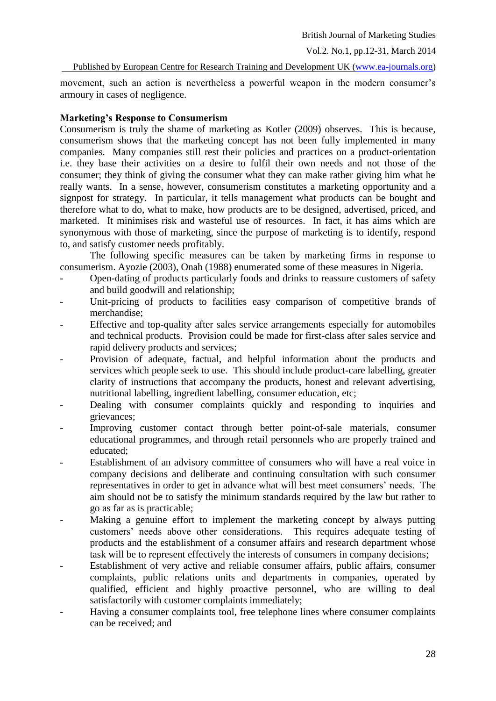Published by European Centre for Research Training and Development UK [\(www.ea-journals.org\)](http://www.ea-journals.org/)

movement, such an action is nevertheless a powerful weapon in the modern consumer's armoury in cases of negligence.

## **Marketing's Response to Consumerism**

Consumerism is truly the shame of marketing as Kotler (2009) observes. This is because, consumerism shows that the marketing concept has not been fully implemented in many companies. Many companies still rest their policies and practices on a product-orientation i.e. they base their activities on a desire to fulfil their own needs and not those of the consumer; they think of giving the consumer what they can make rather giving him what he really wants. In a sense, however, consumerism constitutes a marketing opportunity and a signpost for strategy. In particular, it tells management what products can be bought and therefore what to do, what to make, how products are to be designed, advertised, priced, and marketed. It minimises risk and wasteful use of resources. In fact, it has aims which are synonymous with those of marketing, since the purpose of marketing is to identify, respond to, and satisfy customer needs profitably.

The following specific measures can be taken by marketing firms in response to consumerism. Ayozie (2003), Onah (1988) enumerated some of these measures in Nigeria.

- Open-dating of products particularly foods and drinks to reassure customers of safety and build goodwill and relationship;
- Unit-pricing of products to facilities easy comparison of competitive brands of merchandise;
- Effective and top-quality after sales service arrangements especially for automobiles and technical products. Provision could be made for first-class after sales service and rapid delivery products and services;
- Provision of adequate, factual, and helpful information about the products and services which people seek to use. This should include product-care labelling, greater clarity of instructions that accompany the products, honest and relevant advertising, nutritional labelling, ingredient labelling, consumer education, etc;
- Dealing with consumer complaints quickly and responding to inquiries and grievances;
- Improving customer contact through better point-of-sale materials, consumer educational programmes, and through retail personnels who are properly trained and educated;
- Establishment of an advisory committee of consumers who will have a real voice in company decisions and deliberate and continuing consultation with such consumer representatives in order to get in advance what will best meet consumers' needs. The aim should not be to satisfy the minimum standards required by the law but rather to go as far as is practicable;
- Making a genuine effort to implement the marketing concept by always putting customers' needs above other considerations. This requires adequate testing of products and the establishment of a consumer affairs and research department whose task will be to represent effectively the interests of consumers in company decisions;
- Establishment of very active and reliable consumer affairs, public affairs, consumer complaints, public relations units and departments in companies, operated by qualified, efficient and highly proactive personnel, who are willing to deal satisfactorily with customer complaints immediately;
- Having a consumer complaints tool, free telephone lines where consumer complaints can be received; and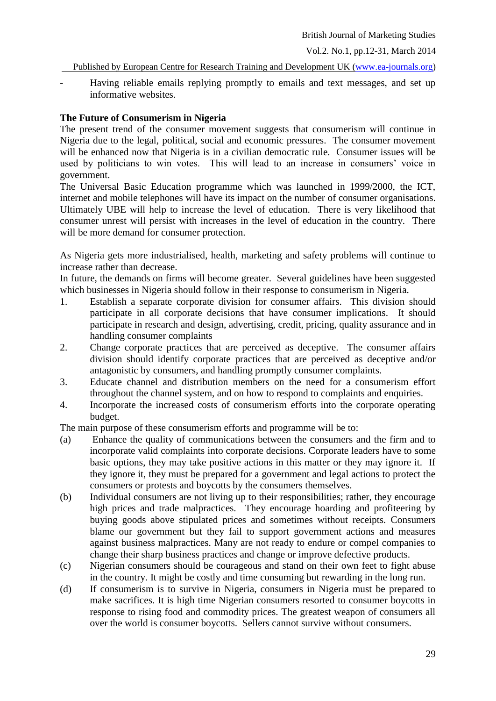Published by European Centre for Research Training and Development UK [\(www.ea-journals.org\)](http://www.ea-journals.org/)

Having reliable emails replying promptly to emails and text messages, and set up informative websites.

## **The Future of Consumerism in Nigeria**

The present trend of the consumer movement suggests that consumerism will continue in Nigeria due to the legal, political, social and economic pressures. The consumer movement will be enhanced now that Nigeria is in a civilian democratic rule. Consumer issues will be used by politicians to win votes. This will lead to an increase in consumers' voice in government.

The Universal Basic Education programme which was launched in 1999/2000, the ICT, internet and mobile telephones will have its impact on the number of consumer organisations. Ultimately UBE will help to increase the level of education. There is very likelihood that consumer unrest will persist with increases in the level of education in the country. There will be more demand for consumer protection.

As Nigeria gets more industrialised, health, marketing and safety problems will continue to increase rather than decrease.

In future, the demands on firms will become greater. Several guidelines have been suggested which businesses in Nigeria should follow in their response to consumerism in Nigeria.

- 1. Establish a separate corporate division for consumer affairs. This division should participate in all corporate decisions that have consumer implications. It should participate in research and design, advertising, credit, pricing, quality assurance and in handling consumer complaints
- 2. Change corporate practices that are perceived as deceptive. The consumer affairs division should identify corporate practices that are perceived as deceptive and/or antagonistic by consumers, and handling promptly consumer complaints.
- 3. Educate channel and distribution members on the need for a consumerism effort throughout the channel system, and on how to respond to complaints and enquiries.
- 4. Incorporate the increased costs of consumerism efforts into the corporate operating budget.

The main purpose of these consumerism efforts and programme will be to:

- (a) Enhance the quality of communications between the consumers and the firm and to incorporate valid complaints into corporate decisions. Corporate leaders have to some basic options, they may take positive actions in this matter or they may ignore it. If they ignore it, they must be prepared for a government and legal actions to protect the consumers or protests and boycotts by the consumers themselves.
- (b) Individual consumers are not living up to their responsibilities; rather, they encourage high prices and trade malpractices. They encourage hoarding and profiteering by buying goods above stipulated prices and sometimes without receipts. Consumers blame our government but they fail to support government actions and measures against business malpractices. Many are not ready to endure or compel companies to change their sharp business practices and change or improve defective products.
- (c) Nigerian consumers should be courageous and stand on their own feet to fight abuse in the country. It might be costly and time consuming but rewarding in the long run.
- (d) If consumerism is to survive in Nigeria, consumers in Nigeria must be prepared to make sacrifices. It is high time Nigerian consumers resorted to consumer boycotts in response to rising food and commodity prices. The greatest weapon of consumers all over the world is consumer boycotts. Sellers cannot survive without consumers.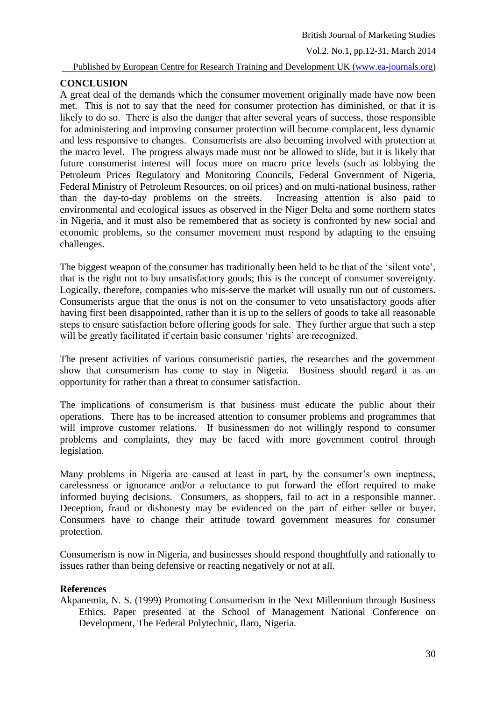#### Published by European Centre for Research Training and Development UK [\(www.ea-journals.org\)](http://www.ea-journals.org/)

## **CONCLUSION**

A great deal of the demands which the consumer movement originally made have now been met. This is not to say that the need for consumer protection has diminished, or that it is likely to do so. There is also the danger that after several years of success, those responsible for administering and improving consumer protection will become complacent, less dynamic and less responsive to changes. Consumerists are also becoming involved with protection at the macro level. The progress always made must not be allowed to slide, but it is likely that future consumerist interest will focus more on macro price levels (such as lobbying the Petroleum Prices Regulatory and Monitoring Councils, Federal Government of Nigeria, Federal Ministry of Petroleum Resources, on oil prices) and on multi-national business, rather than the day-to-day problems on the streets. Increasing attention is also paid to environmental and ecological issues as observed in the Niger Delta and some northern states in Nigeria, and it must also be remembered that as society is confronted by new social and economic problems, so the consumer movement must respond by adapting to the ensuing challenges.

The biggest weapon of the consumer has traditionally been held to be that of the 'silent vote', that is the right not to buy unsatisfactory goods; this is the concept of consumer sovereignty. Logically, therefore, companies who mis-serve the market will usually run out of customers. Consumerists argue that the onus is not on the consumer to veto unsatisfactory goods after having first been disappointed, rather than it is up to the sellers of goods to take all reasonable steps to ensure satisfaction before offering goods for sale. They further argue that such a step will be greatly facilitated if certain basic consumer 'rights' are recognized.

The present activities of various consumeristic parties, the researches and the government show that consumerism has come to stay in Nigeria. Business should regard it as an opportunity for rather than a threat to consumer satisfaction.

The implications of consumerism is that business must educate the public about their operations. There has to be increased attention to consumer problems and programmes that will improve customer relations. If businessmen do not willingly respond to consumer problems and complaints, they may be faced with more government control through legislation.

Many problems in Nigeria are caused at least in part, by the consumer's own ineptness, carelessness or ignorance and/or a reluctance to put forward the effort required to make informed buying decisions. Consumers, as shoppers, fail to act in a responsible manner. Deception, fraud or dishonesty may be evidenced on the part of either seller or buyer. Consumers have to change their attitude toward government measures for consumer protection.

Consumerism is now in Nigeria, and businesses should respond thoughtfully and rationally to issues rather than being defensive or reacting negatively or not at all.

## **References**

Akpanemia, N. S. (1999) Promoting Consumerism in the Next Millennium through Business Ethics. Paper presented at the School of Management National Conference on Development, The Federal Polytechnic, Ilaro, Nigeria.